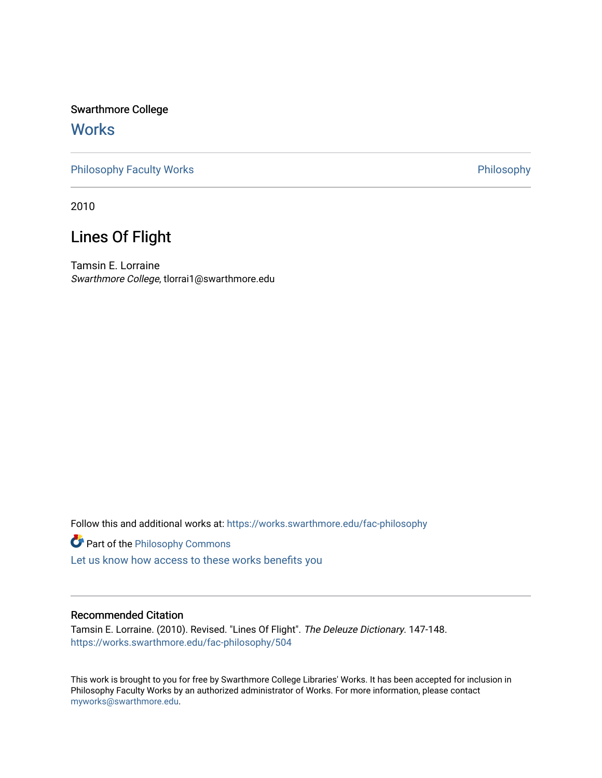Swarthmore College

## **Works**

[Philosophy Faculty Works](https://works.swarthmore.edu/fac-philosophy) **Philosophy** Philosophy

2010

# Lines Of Flight

Tamsin E. Lorraine Swarthmore College, tlorrai1@swarthmore.edu

Follow this and additional works at: [https://works.swarthmore.edu/fac-philosophy](https://works.swarthmore.edu/fac-philosophy?utm_source=works.swarthmore.edu%2Ffac-philosophy%2F504&utm_medium=PDF&utm_campaign=PDFCoverPages) 

Part of the [Philosophy Commons](http://network.bepress.com/hgg/discipline/525?utm_source=works.swarthmore.edu%2Ffac-philosophy%2F504&utm_medium=PDF&utm_campaign=PDFCoverPages) 

[Let us know how access to these works benefits you](https://forms.gle/4MB8mE2GywC5965J8) 

### Recommended Citation

Tamsin E. Lorraine. (2010). Revised. "Lines Of Flight". The Deleuze Dictionary. 147-148. <https://works.swarthmore.edu/fac-philosophy/504>

This work is brought to you for free by Swarthmore College Libraries' Works. It has been accepted for inclusion in Philosophy Faculty Works by an authorized administrator of Works. For more information, please contact [myworks@swarthmore.edu.](mailto:myworks@swarthmore.edu)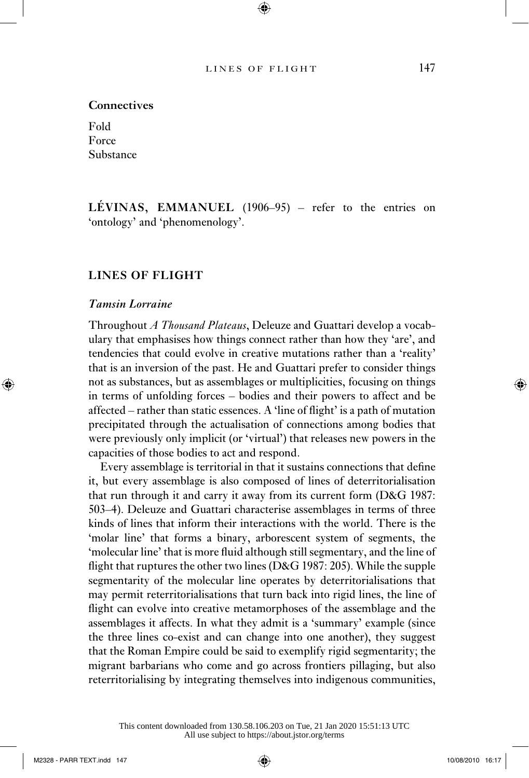#### **Connectives**

Fold Force Substance

**LÉVINAS, EMMANUEL** (1906–95) – refer to the entries on 'ontology' and 'phenomenology'.

#### **LINES OF FLIGHT**

#### *Tamsin Lorraine*

Throughout *A Thousand Plateaus*, Deleuze and Guattari develop a vocabulary that emphasises how things connect rather than how they 'are', and tendencies that could evolve in creative mutations rather than a 'reality' that is an inversion of the past. He and Guattari prefer to consider things not as substances, but as assemblages or multiplicities, focusing on things in terms of unfolding forces – bodies and their powers to affect and be affected – rather than static essences. A 'line of flight' is a path of mutation precipitated through the actualisation of connections among bodies that were previously only implicit (or 'virtual') that releases new powers in the capacities of those bodies to act and respond.

Every assemblage is territorial in that it sustains connections that define it, but every assemblage is also composed of lines of deterritorialisation that run through it and carry it away from its current form (D&G 1987: 503–4). Deleuze and Guattari characterise assemblages in terms of three kinds of lines that inform their interactions with the world. There is the 'molar line' that forms a binary, arborescent system of segments, the 'molecular line' that is more fluid although still segmentary, and the line of flight that ruptures the other two lines ( $D&G$  1987: 205). While the supple segmentarity of the molecular line operates by deterritorialisations that may permit reterritorialisations that turn back into rigid lines, the line of flight can evolve into creative metamorphoses of the assemblage and the assemblages it affects. In what they admit is a 'summary' example (since the three lines co-exist and can change into one another), they suggest that the Roman Empire could be said to exemplify rigid segmentarity; the migrant barbarians who come and go across frontiers pillaging, but also reterritorialising by integrating themselves into indigenous communities,